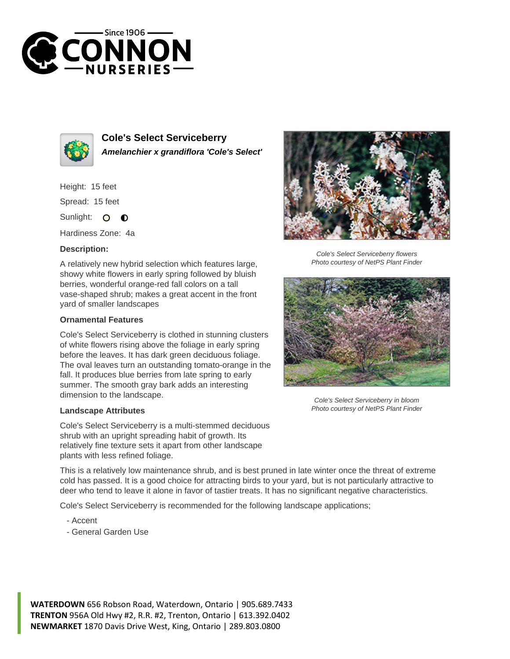



**Cole's Select Serviceberry Amelanchier x grandiflora 'Cole's Select'**

Height: 15 feet Spread: 15 feet

Sunlight: O  $\bullet$ 

Hardiness Zone: 4a

## **Description:**

A relatively new hybrid selection which features large, showy white flowers in early spring followed by bluish berries, wonderful orange-red fall colors on a tall vase-shaped shrub; makes a great accent in the front yard of smaller landscapes

## **Ornamental Features**

Cole's Select Serviceberry is clothed in stunning clusters of white flowers rising above the foliage in early spring before the leaves. It has dark green deciduous foliage. The oval leaves turn an outstanding tomato-orange in the fall. It produces blue berries from late spring to early summer. The smooth gray bark adds an interesting dimension to the landscape.

## **Landscape Attributes**

Cole's Select Serviceberry is a multi-stemmed deciduous shrub with an upright spreading habit of growth. Its relatively fine texture sets it apart from other landscape plants with less refined foliage.

This is a relatively low maintenance shrub, and is best pruned in late winter once the threat of extreme cold has passed. It is a good choice for attracting birds to your yard, but is not particularly attractive to deer who tend to leave it alone in favor of tastier treats. It has no significant negative characteristics.

Cole's Select Serviceberry is recommended for the following landscape applications;

- Accent
- General Garden Use



Cole's Select Serviceberry flowers Photo courtesy of NetPS Plant Finder



Cole's Select Serviceberry in bloom Photo courtesy of NetPS Plant Finder

**WATERDOWN** 656 Robson Road, Waterdown, Ontario | 905.689.7433 **TRENTON** 956A Old Hwy #2, R.R. #2, Trenton, Ontario | 613.392.0402 **NEWMARKET** 1870 Davis Drive West, King, Ontario | 289.803.0800